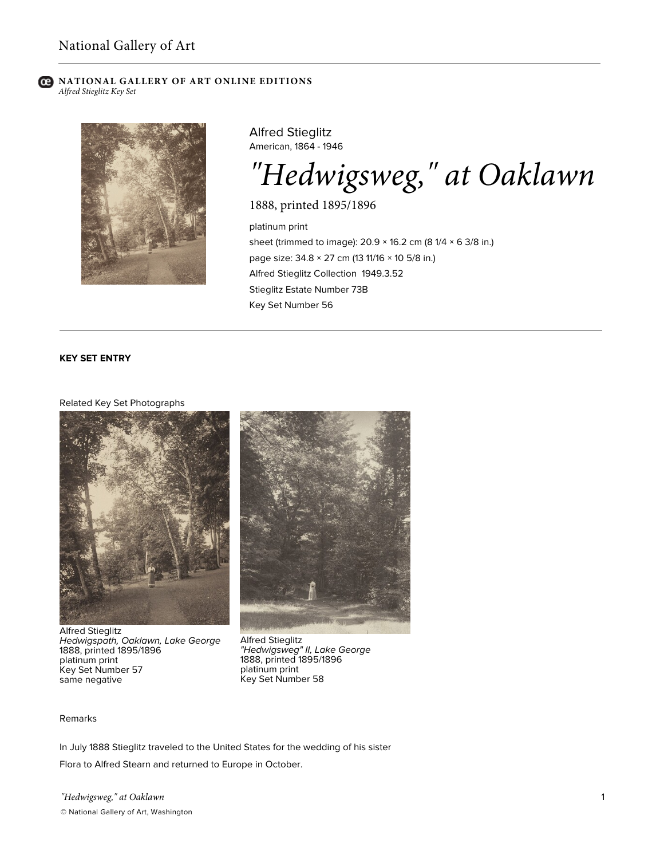### **NATIONAL GALLERY OF ART ONLINE EDITIONS** *Alfred Stieglitz Key Set*



Alfred Stieglitz American, 1864 - 1946

*"Hedwigsweg," at Oaklawn*

1888, printed 1895/1896

platinum print sheet (trimmed to image):  $20.9 \times 16.2$  cm (8 1/4  $\times$  6 3/8 in.) page size: 34.8 × 27 cm (13 11/16 × 10 5/8 in.) Alfred Stieglitz Collection 1949.3.52 Stieglitz Estate Number 73B Key Set Number 56

# **KEY SET ENTRY**

#### Related Key Set Photographs



Alfred Stieglitz *Hedwigspath, Oaklawn, Lake George* 1888, printed 1895/1896 platinum print Key Set Number 57 same negative



Alfred Stieglitz *"Hedwigsweg" II, Lake George* 1888, printed 1895/1896 platinum print Key Set Number 58

## Remarks

In July 1888 Stieglitz traveled to the United States for the wedding of his sister Flora to Alfred Stearn and returned to Europe in October.

*"Hedwigsweg," at Oaklawn* © National Gallery of Art, Washington